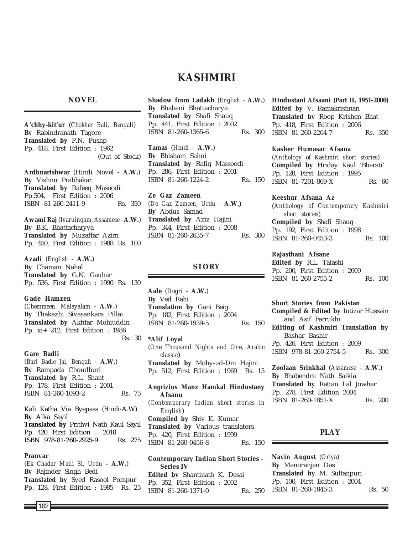# **KASHMIRI**

# **NOVEL**

**A'chhy-kit'ur** (*Chokher Bali, Bengali*) **By** Rabindranath Tagore **Translated by** P.N. Pushp Pp. 418, First Edition : 1962 (Out of Stock)

**Ardhnarishwar** (Hindi Novel **- A.W.**) **By** Vishnu Prabhakar **Translated by** Rafeeq Masoodi Pp.504, First Edition : 2006 ISBN 81-260-2411-9 Rs. 350

**Awami Raj** (*Iyaruingam, Assamese* - **A.W.**) **By** B.K. Bhattacharyya **Translated by** Muzaffar Azim Pp. 450, First Edition : 1988 Rs. 100

**Azadi** (*English* - **A.W.**) **By** Chaman Nahal **Translated by** G.N. Gauhar Pp. 536, First Edition : 1990 Rs. 130

#### **Gade Hamzen**

(*Chemmeen, Malayalam* - **A.W.**) **By** Thakazhi Sivasankara Pillai **Translated by** Akhtar Mohiuddin Pp. xi+ 212, First Edition : 1986 Rs. 30

#### **Gare Badli**

(*Bari Badle Jai, Bengali* - **A.W.**) **By** Rampada Choudhuri **Translated by** R.L. Shant Pp. 178, First Edition : 2001 ISBN 81-260-1093-2 Rs. 75

Kali Katha Via Byepass (*Hindi*-A.W) **By** Alka Sayil **Translated by** Prithvi Nath Kaul Sayil Pp. 420, First Edition : 2010 ISBN 978-81-260-2925-9 Rs. 275

#### **Pranvar**

(*Ek Chadar Maili Si, Urdu* **- A.W.**) **By** Rajinder Singh Bedi **Translated by** Syed Rasool Pompur Pp. 128, First Edition : 1985 Rs. 25 **Shadow from Ladakh** (*English* - **A.W.**) **By** Bhabani Bhattacharya **Translated by** Shafi Shauq Pp. 441, First Edition : 2002 ISBN 81-260-1365-6 Rs. 300

**Tamas** (*Hindi* - **A.W.**) **By** Bhisham Sahni **Translated by** Rafiq Massoodi Pp. 286, First Edition : 2001 ISBN 81-260-1224-2 Rs. 150

**Ze Gaz Zameen** (*Do Gaz Zameen, Urdu -* **A.W.) By** Abdus Samad **Translated by** Aziz Hajini Pp. 344, First Edition : 2008 ISBN 81-260-2635-7 Rs. 300

# **STORY**

**Aale** (*Dogri* - **A.W.**) **By** Ved Rahi **Translation by** Gani Beig Pp. 182, First Edition : 2004 ISBN 81-260-1939-5 Rs. 150

**\*Alif Loyal** (*One Thousand Nights and One, Arabic classic*) **Translated by** Mohy-ud-Din Hajini Pp. 512, First Edition : 1969 Rs. 15

**Angrizius Manz Hamkal Hindustany Afsanu** (*Contemporary Indian short stories in English*) **Compiled by** Shiv K. Kumar **Translated by** Various translators Pp. 420, First Edition : 1999 ISBN 81-260-0456-8 Rs. 150

**Contemporary Indian Short Stories - Series IV Edited by** Shantinath K. Desai Pp. 352, First Edition : 2002 ISBN 81-260-1371-0 Rs. 250 **Hindustani Afsaani (Part II, 1951-2000) Edited by** V. Ramakrishnan **Translated by** Roop Krishen Bhat Pp. 418, First Edition : 2006 ISBN 81-260-2264-7 Rs. 350

#### **Kasher Humasar Afsana**

(*Anthology of Kashmiri short stories*) **Compiled by** Hriday Kaul 'Bharati' Pp. 128, First Edition : 1995 ISBN 81-7201-869-X Rs. 60

**Keeshur Afsana Az** (*Anthology of Contemporary Kashmiri short stories*) **Compiled by** Shafi Shauq Pp. 192, First Edition : 1998 ISBN 81-260-0453-3 Rs. 100

### **Rajasthani Afsane**

**Edited by** R.L. Talashi Pp. 200, First Edition : 2009 ISBN 81-260-2755-2 Rs. 100

**Short Stories from Pakistan Compiled & Edited by** Intizar Hussain and Asif Farrukhi **Editing of Kashmiri Translation by** Bashar Bashir Pp. 426, First Edition : 2009 ISBN 978-81-260-2754-5 Rs. 300

**Zoolaan Srinkhal** (*Assamese* - **A.W.**) **By** Bhabendra Nath Saikia **Translated by** Rattan Lal Jowhar Pp. 278, First Edition 2004 ISBN 81-260-1851-X Rs. 200

# **PLAY**

**Navin August** (*Oriya*) **By** Manoranjan Das **Translated by** M. Sultanpuri Pp. 100, First Edition : 2004 ISBN 81-260-1845-3 Rs. 50

102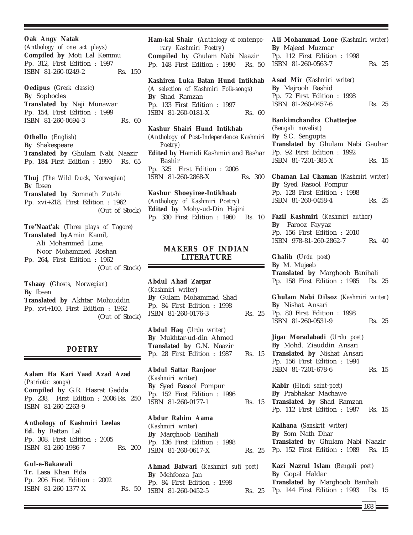**Oak Angy Natak** (*Anthology of one act plays*) **Compiled by** Moti Lal Kemmu Pp. 312, First Edition : 1997 ISBN 81-260-0249-2 Rs. 150 **Oedipus** (*Greek classic*) **By** Sophocles **Translated by** Naji Munawar Pp. 154, First Edition : 1999 ISBN 81-260-0694-3 Rs. 60 **Othello** (*English*) **By** Shakespeare **Translated by** Ghulam Nabi Naazir Pp. 184 First Edition : 1990 Rs. 65 **Thuj** (*The Wild Duck, Norwegian*) **By** Ibsen **Translated by** Somnath Zutshi Pp. xvi+218, First Edition : 1962 (Out of Stock) **Tre'Naat'ak** (*Three plays of Tagore*) **Translated by**Amin Kamil, Ali Mohammed Lone, Noor Mohammed Roshan

Pp. 264, First Edition : 1962 (Out of Stock)

**Tshaay** (*Ghosts, Norwegian*) **By** Ibsen **Translated by** Akhtar Mohiuddin Pp. xvi+160, First Edition : 1962 (Out of Stock)

# **POETRY**

**Aalam Ha Kari Yaad Azad Azad** *(Patriotic songs)* **Compiled by** G.R. Hasrat Gadda Pp. 238, First Edition : 2006 Rs. 250 ISBN 81-260-2263-9

**Anthology of Kashmiri Leelas Ed. by** Rattan Lal Pp. 308, First Edition : 2005 ISBN 81-260-1986-7 Rs. 200

**Gul-e-Bakawali Tr.** Lasa Khan Fida Pp. 206 First Edition : 2002 ISBN 81-260-1377-X Rs. 50 **Ham-kal Shair** (*Anthology of contemporary Kashmiri Poetry*) **Compiled by** Ghulam Nabi Naazir Pp. 148 First Edition : 1990 Rs. 50

**Kashiren Luka Batan Hund Intikhab**

(*A selection of Kashmiri Folk-songs*) **By** Shad Ramzan Pp. 133 First Edition : 1997 ISBN 81-260-0181-X Rs. 60

**Kashur Shairi Hund Intikhab** *(Anthology of Post-Independence Kashmiri Poetry)* **Edited by** Hamidi Kashmiri and Bashar Bashir Pp. 325 First Edition : 2006 ISBN 81-260-2868-X Rs. 300

**Kashur Shoeyiree-Intikhaab** (*Anthology of Kashmiri Poetry*) **Edited by** Mohy-ud-Din Hajini Pp. 330 First Edition : 1960 Rs. 10

# **MAKERS OF INDIAN LITERATURE**

**Abdul Ahad Zargar** (*Kashmiri writer*) **By** Gulam Mohammad Shad Pp. 84 First Edition : 1998 ISBN 81-260-0176-3 Rs. 25

**Abdul Haq** (*Urdu writer*) **By** Mukhtar-ud-din Ahmed **Translated by** G.N. Naazir Pp. 28 First Edition : 1987 Rs. 15

**Abdul Sattar Ranjoor** (*Kashmiri writer*) **By** Syed Rasool Pompur Pp. 152 First Edition : 1996 ISBN 81-260-0177-1 Rs. 15

**Abdur Rahim Aama** (*Kashmiri writer*) **By** Marghoob Banihali Pp. 136 First Edition : 1998 ISBN 81-260-0617-X Rs. 25

**Ahmad Batwari** (*Kashmiri sufi poet*) **By** Mehfooza Jan Pp. 84 First Edition : 1998 ISBN 81-260-0452-5 Rs. 25 **Ali Mohammad Lone** (*Kashmiri writer*) **By** Majeed Muzmar Pp. 112 First Edition : 1998 ISBN 81-260-0563-7 Rs. 25

**Asad Mir** (*Kashmiri writer*) **By** Majrooh Rashid Pp. 72 First Edition : 1998 ISBN 81-260-0457-6 Rs. 25

**Bankimchandra Chatterjee** (*Bengali novelist*) **By** S.C. Sengupta **Translated by** Ghulam Nabi Gauhar Pp. 92 First Edition : 1992 ISBN 81-7201-385-X Rs. 15

**Chaman Lal Chaman** (*Kashmiri writer*) **By** Syed Rasool Pompur Pp. 128 First Edition : 1998 ISBN 81-260-0458-4 Rs. 25

**Fazil Kashmiri** (*Kashmiri author*) **By** Farooz Fayyaz Pp. 156 First Edition : 2010 ISBN 978-81-260-2862-7 Rs. 40

**Ghalib** (*Urdu poet*) **By** M. Mujeeb **Translated by** Marghoob Banihali Pp. 158 First Edition : 1985 Rs. 25

**Ghulam Nabi Dilsoz** (*Kashmiri writer*) **By** Nishat Ansari Pp. 80 First Edition : 1998 ISBN 81-260-0531-9 Rs. 25

**Jigar Moradabadi** (*Urdu poet*) **By** Mohd. Ziauddin Ansari **Translated by** Nishat Ansari Pp. 156 First Edition : 1994 ISBN 81-7201-678-6 Rs. 15

**Kabir** (*Hindi saint-poet*) **By** Prabhakar Machawe **Translated by** Shad Ramzan Pp. 112 First Edition : 1987 Rs. 15

**Kalhana** (*Sanskrit writer*) **By** Som Nath Dhar **Translated by** Ghulam Nabi Naazir Pp. 152 First Edition : 1989 Rs. 15

**Kazi Nazrul Islam** (*Bengali poet*) **By** Gopal Haldar **Translated by** Marghoob Banihali Pp. 144 First Edition : 1993 Rs. 15

103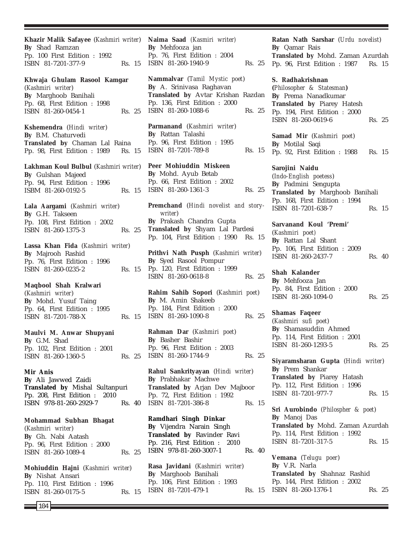**Khazir Malik Safayee** (*Kashmiri writer*) **By** Shad Ramzan Pp. 100 First Edition : 1992 ISBN 81-7201-377-9 Rs. 15 **Khwaja Ghulam Rasool Kamgar** (*Kashmiri writer*) **By** Marghoob Banihali Pp. 68, First Edition : 1998 ISBN 81-260-0454-1 Rs. 25 **Kshemendra** (*Hindi writer*) **By** B.M. Chaturvedi **Translated by** Chaman Lal Raina Pp. 98, First Edition : 1989 Rs. 15 **Lakhman Koul Bulbul** (*Kashmiri writer*) **By** Gulshan Majeed Pp. 94, First Edition : 1996 ISBM 81-260-0192-5 Rs. 15 **Lala Aargami** (*Kashmiri writer*) **By** G.H. Takseen Pp. 108, First Edition : 2002 ISBN 81-260-1375-3 Rs. 25 **Lassa Khan Fida** (*Kashmiri writer*) **By** Majrooh Rashid Pp. 76, First Edition : 1996 ISBN 81-260-0235-2 Rs. 15 **Maqbool Shah Kralwari** (*Kashmiri writer*) **By** Mohd. Yusuf Taing Pp. 64, First Edition : 1995 ISBN 81-7201-788-X Rs. 15 **Maulvi M. Anwar Shupyani By** G.M. Shad Pp. 102, First Edition : 2001 ISBN 81-260-1360-5 Rs. 25 **Mir Anis By** Ali Jawwed Zaidi **Translated by** Mishal Sultanpuri Pp. 208, First Edition : 2010 ISBN 978-81-260-2929-7 Rs. 40 **Mohammad Subhan Bhagat** (*Kashmiri writer*) **By** Gh. Nabi Aatash Pp. 96, First Edition : 2000 ISBN 81-260-1089-4 Rs. 25 **Mohiuddin Hajni** (*Kashmiri writer*)

**By** Nishat Ansari Pp. 110, First Edition : 1996 ISBN 81-260-0175-5 Rs. 15 **Naima Saad** *(Kasmiri writer)* **By** Mehfooza jan Pp. 76, First Edition : 2004 ISBN 81-260-1940-9 Rs. 25

**Nammalvar** (*Tamil Mystic poet*) **By** A. Srinivasa Raghavan **Translated by** Avtar Krishan Razdan Pp. 136, First Edition : 2000 ISBN 81-260-1088-6 Rs. 25

**Parmanand** (*Kashmiri writer*) **By** Rattan Talashi Pp. 96, First Edition : 1995 ISBN 81-7201-789-8 Rs. 15

**Peer Mohiuddin Miskeen By** Mohd. Ayub Betab Pp. 66, First Edition : 2002 ISBN 81-260-1361-3 Rs. 25

**Premchand** (*Hindi novelist and storywriter*) **By** Prakash Chandra Gupta **Translated by** Shyam Lal Pardesi Pp. 104, First Edition : 1990 Rs. 15

**Prithvi Nath Pusph** (*Kashmiri writer*) **By** Syed Rasool Pompur Pp. 120, First Edition : 1999 ISBN 81-260-0618-8 Rs. 25

**Rahim Sahib Sopori** (*Kashmiri poet*) **By** M. Amin Shakeeb Pp. 184, First Edition : 2000 ISBN 81-260-1090-8 Rs. 25

**Rahman Dar** (*Kashmiri poet*) **By** Basher Bashir Pp. 96, First Edition : 2003 ISBN 81-260-1744-9 Rs. 25

**Rahul Sankrityayan** (*Hindi writer*) **By** Prabhakar Machwe **Translated by** Arjan Dev Majboor Pp. 72, First Edition : 1992 ISBN 81-7201-386-8 Rs. 15

**Ramdhari Singh Dinkar By** Vijendra Narain Singh **Translated by** Ravinder Ravi Pp. 216, First Edition : 2010 ISBN 978-81-260-3007-1 Rs. 40

**Rasa Javidani** (*Kashmiri writer*) **By** Marghoob Banihali Pp. 106, First Edition : 1993 ISBN 81-7201-479-1

**Ratan Nath Sarshar** (*Urdu novelist*) **By** Qamar Rais **Translated by** Mohd. Zaman Azurdah Pp. 96, First Edition : 1987 Rs. 15

**S. Radhakrishnan (***Philosopher & Statesman***) By** Prema Nanadkumar **Translated by** Piarey Hatesh

Pp. 194, First Edition : 2000 ISBN 81-260-0619-6 Rs. 25

**Samad Mir** (*Kashmiri poet*) **By** Motilal Saqi Pp. 92, First Edition : 1988 Rs. 15

**Sarojini Naidu** (*Indo-English poetess*) **By** Padmini Sengupta **Translated by** Marghoob Banihali Pp. 168, First Edition : 1994 ISBN 81-7201-638-7 Rs. 15

**Sarvanand Koul 'Premi'** (*Kashmiri poet)* **By** Rattan Lal Shant Pp. 106, First Edition : 2009 ISBN 81-260-2437-7 Rs. 40

**Shah Kalander By** Mehfooza Jan Pp. 84, First Edition : 2000 ISBN 81-260-1094-0 Rs. 25

**Shamas Faqeer** (*Kashmiri sufi poet*) **By** Shamasuddin Ahmed Pp. 114, First Edition : 2001 ISBN 81-260-1293-5 Rs. 25

**Siyaramsharan Gupta** (*Hindi writer*) **By** Prem Shankar **Translated by** Piarey Hatash Pp. 112, First Edition : 1996 ISBN 81-7201-977-7 Rs. 15

**Sri Aurobindo** (*Philospher & poet*) **By** Manoj Das **Translated by** Mohd. Zaman Azurdah Pp. 114, First Edition : 1992 ISBN 81-7201-317-5 Rs. 15

**Vemana** (*Telugu poer*) **By** V.R. Narla **Translated by** Shahnaz Rashid Pp. 144, First Edition : 2002 Rs. 15 ISBN 81-260-1376-1 Rs. 25

104